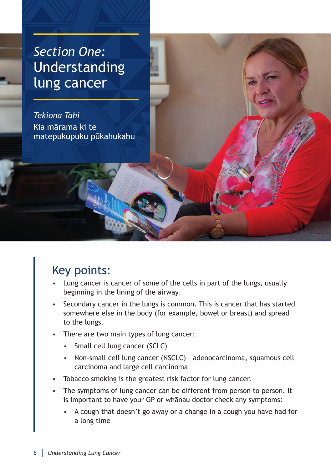# *Section One:* Understanding lung cancer

*Tekiona Tahi* Kia mārama ki te matepukupuku pūkahukahu

#### Key points:

- Lung cancer is cancer of some of the cells in part of the lungs, usually beginning in the lining of the airway.
- Secondary cancer in the lungs is common. This is cancer that has started somewhere else in the body (for example, bowel or breast) and spread to the lungs.
- There are two main types of lung cancer:
	- Small cell lung cancer (SCLC)
	- Non-small cell lung cancer (NSCLC) adenocarcinoma, squamous cell carcinoma and large cell carcinoma
- Tobacco smoking is the greatest risk factor for lung cancer.
- The symptoms of lung cancer can be different from person to person. It is important to have your GP or whānau doctor check any symptoms:
	- A cough that doesn't go away or a change in a cough you have had for a long time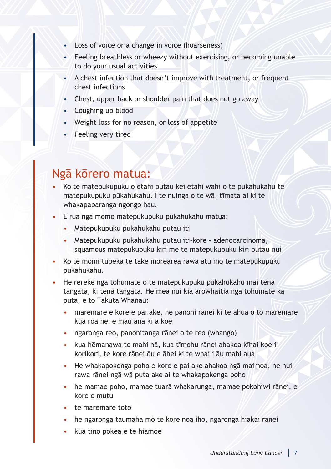- Loss of voice or a change in voice (hoarseness)
- $\bullet$  Feeling breathless or wheezy without exercising, or becoming unable to do your usual activities
- A chest infection that doesn't improve with treatment, or frequent chest infections
- Chest, upper back or shoulder pain that does not go away
- Coughing up blood
- Weight loss for no reason, or loss of appetite
- Feeling very tired

#### Ngā kōrero matua:

- Ko te matepukupuku o ētahi pūtau kei ētahi wāhi o te pūkahukahu te matepukupuku pūkahukahu. I te nuinga o te wā, tīmata ai ki te whakapaparanga ngongo hau.
- E rua ngā momo matepukupuku pūkahukahu matua:
	- Matepukupuku pūkahukahu pūtau iti
	- Matepukupuku pūkahukahu pūtau iti-kore adenocarcinoma, squamous matepukupuku kiri me te matepukupuku kiri pūtau nui
- Ko te momi tupeka te take mōrearea rawa atu mō te matepukupuku pūkahukahu.
- He rerekē ngā tohumate o te matepukupuku pūkahukahu mai tēnā tangata, ki tēnā tangata. He mea nui kia arowhaitia ngā tohumate ka puta, e tō Tākuta Whānau:
	- maremare e kore e pai ake, he panoni rānei ki te āhua o tō maremare kua roa nei e mau ana ki a koe
	- ngaronga reo, panonitanga rānei o te reo (whango)
	- kua hēmanawa te mahi hā, kua tīmohu rānei ahakoa kīhai koe i korikori, te kore rānei ōu e āhei ki te whai i āu mahi aua
	- He whakapokenga poho e kore e pai ake ahakoa ngā maimoa, he nui rawa rānei ngā wā puta ake ai te whakapokenga poho
	- he mamae poho, mamae tuarā whakarunga, mamae pokohiwi rānei, e kore e mutu
	- te maremare toto
	- he ngaronga taumaha mō te kore noa iho, ngaronga hiakai rānei
	- kua tino pokea e te hiamoe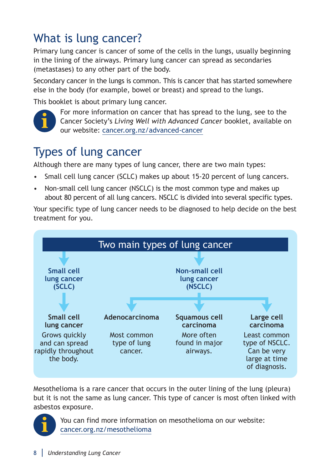### What is lung cancer?

Primary lung cancer is cancer of some of the cells in the lungs, usually beginning in the lining of the airways. Primary lung cancer can spread as secondaries (metastases) to any other part of the body.

Secondary cancer in the lungs is common. This is cancer that has started somewhere else in the body (for example, bowel or breast) and spread to the lungs.

This booklet is about primary lung cancer.



For more information on cancer that has spread to the lung, see to the Cancer Society's *Living Well with Advanced Cancer* booklet, available on our website: [cancer.org.nz/advanced-cancer](http://cancer.org.nz/advanced-cancer)

#### Types of lung cancer

Although there are many types of lung cancer, there are two main types:

- Small cell lung cancer (SCLC) makes up about 15-20 percent of lung cancers.
- Non-small cell lung cancer (NSCLC) is the most common type and makes up about 80 percent of all lung cancers. NSCLC is divided into several specific types.

Your specific type of lung cancer needs to be diagnosed to help decide on the best treatment for you.



Mesothelioma is a rare cancer that occurs in the outer lining of the lung (pleura) but it is not the same as lung cancer. This type of cancer is most often linked with asbestos exposure.



You can find more information on mesothelioma on our website: [cancer.org.nz/mesothelioma](http://cancer.org.nz/mesothelioma)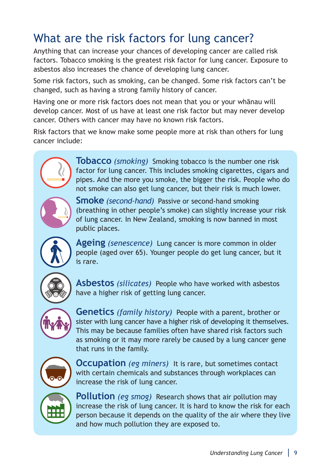### What are the risk factors for lung cancer?

Anything that can increase your chances of developing cancer are called risk factors. Tobacco smoking is the greatest risk factor for lung cancer. Exposure to asbestos also increases the chance of developing lung cancer.

Some risk factors, such as smoking, can be changed. Some risk factors can't be changed, such as having a strong family history of cancer.

Having one or more risk factors does not mean that you or your whānau will develop cancer. Most of us have at least one risk factor but may never develop cancer. Others with cancer may have no known risk factors.

Risk factors that we know make some people more at risk than others for lung cancer include:



**Tobacco** *(smoking)* Smoking tobacco is the number one risk factor for lung cancer. This includes smoking cigarettes, cigars and pipes. And the more you smoke, the bigger the risk. People who do not smoke can also get lung cancer, but their risk is much lower.



**Smoke** *(second-hand)* Passive or second-hand smoking (breathing in other people's smoke) can slightly increase your risk of lung cancer. In New Zealand, smoking is now banned in most public places.



**Ageing** *(senescence)* Lung cancer is more common in older people (aged over 65). Younger people do get lung cancer, but it is rare.

**Asbestos** *(silicates)* People who have worked with asbestos have a higher risk of getting lung cancer.



**Genetics** *(family history)* People with a parent, brother or sister with lung cancer have a higher risk of developing it themselves. This may be because families often have shared risk factors such as smoking or it may more rarely be caused by a lung cancer gene that runs in the family.



**Occupation** *(eg miners)* It is rare, but sometimes contact with certain chemicals and substances through workplaces can increase the risk of lung cancer.



**Pollution** *(eg smog)* Research shows that air pollution may increase the risk of lung cancer. It is hard to know the risk for each person because it depends on the quality of the air where they live and how much pollution they are exposed to.